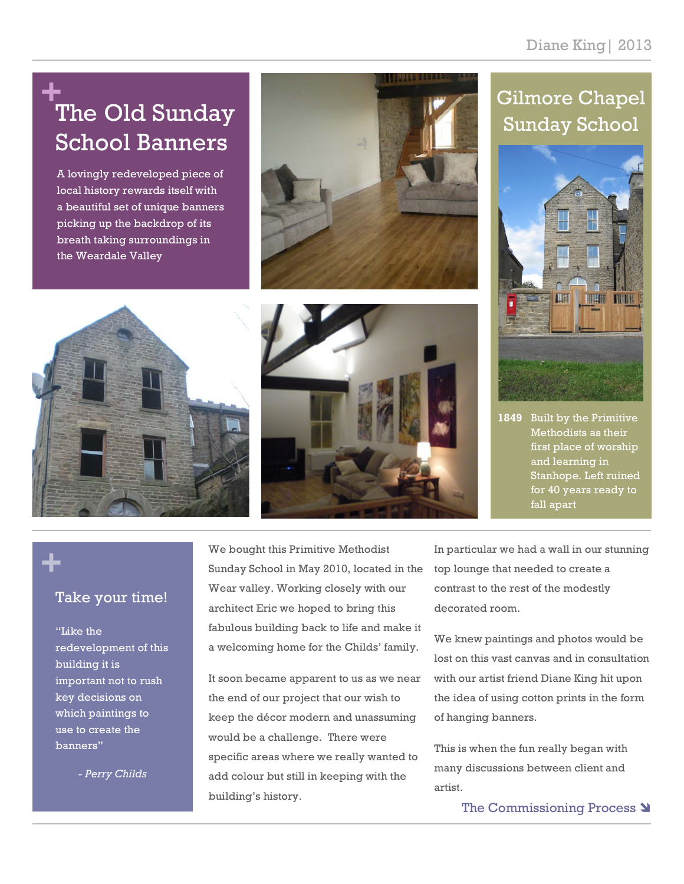# **+** The Old Sunday School Banners

A lovingly redeveloped piece of local history rewards itself with a beautiful set of unique banners picking up the backdrop of its breath taking surroundings in the Weardale Valley

## Gilmore Chapel Sunday School



Built by the Primitive Methodists as their first place of worship and learning in Stanhope. Left ruined for 40 years ready to fall apart **1849**



Take your time!

**+**

"Like the redevelopment of this building it is important not to rush key decisions on which paintings to use to create the banners"

*- Perry Childs*

We bought this Primitive Methodist Sunday School in May 2010, located in the Wear valley. Working closely with our architect Eric we hoped to bring this fabulous building back to life and make it a welcoming home for the Childs' family.

It soon became apparent to us as we near the end of our project that our wish to keep the décor modern and unassuming would be a challenge. There were specific areas where we really wanted to add colour but still in keeping with the building's history.

In particular we had a wall in our stunning top lounge that needed to create a contrast to the rest of the modestly decorated room.

We knew paintings and photos would be lost on this vast canvas and in consultation with our artist friend Diane King hit upon the idea of using cotton prints in the form of hanging banners.

This is when the fun really began with many discussions between client and artist.

The Commissioning Process **)**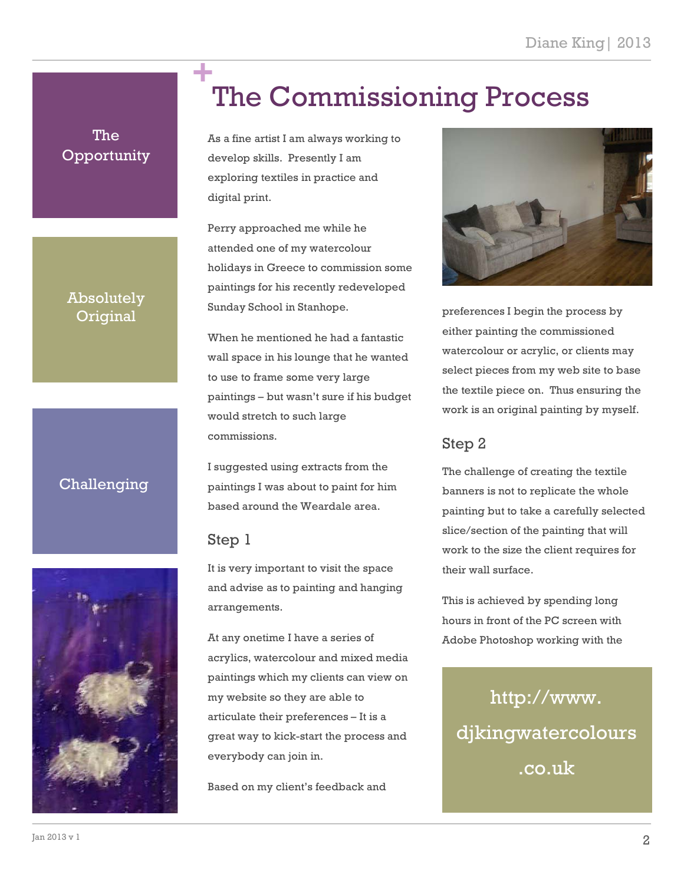# The Commissioning Process **+**

As a fine artist I am always working to develop skills. Presently I am exploring textiles in practice and digital print.

Perry approached me while he attended one of my watercolour holidays in Greece to commission some paintings for his recently redeveloped Sunday School in Stanhope.

When he mentioned he had a fantastic wall space in his lounge that he wanted to use to frame some very large paintings – but wasn't sure if his budget would stretch to such large commissions.

I suggested using extracts from the paintings I was about to paint for him based around the Weardale area.

### Step 1

It is very important to visit the space and advise as to painting and hanging arrangements.

At any onetime I have a series of acrylics, watercolour and mixed media paintings which my clients can view on my website so they are able to articulate their preferences – It is a great way to kick-start the process and everybody can join in.

Based on my client's feedback and



preferences I begin the process by either painting the commissioned watercolour or acrylic, or clients may select pieces from my web site to base the textile piece on. Thus ensuring the work is an original painting by myself.

#### Step 2

The challenge of creating the textile banners is not to replicate the whole painting but to take a carefully selected slice/section of the painting that will work to the size the client requires for their wall surface.

This is achieved by spending long hours in front of the PC screen with Adobe Photoshop working with the

http://www. djkingwatercolours .co.uk

### Absolutely **Original**

The **Opportunity** 

### Challenging

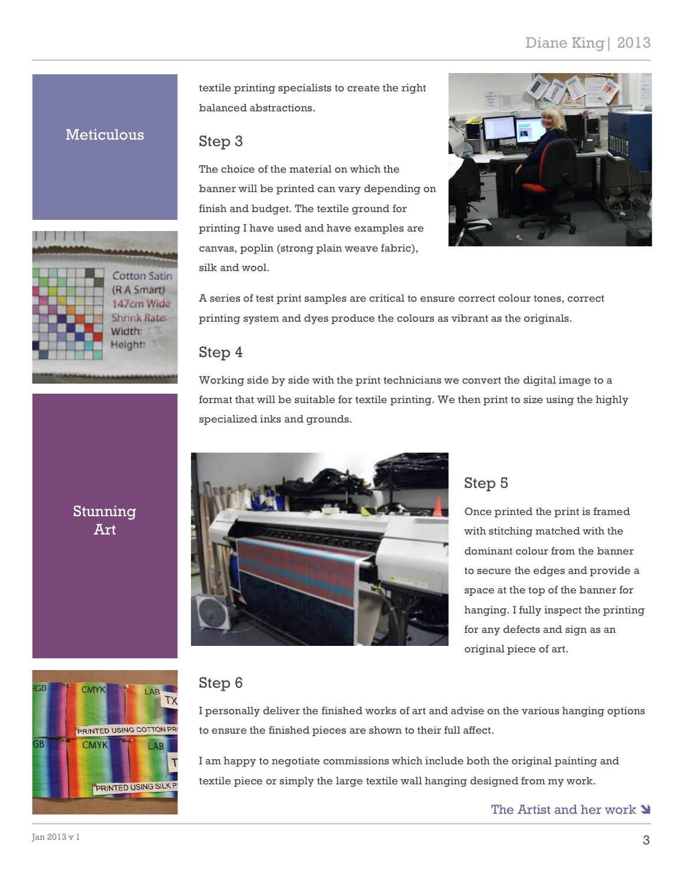textile printing specialists to create the right balanced abstractions.

#### **Meticulous**



Step 3

The choice of the material on which the banner will be printed can vary depending on finish and budget. The textile ground for printing I have used and have examples are canvas, poplin (strong plain weave fabric), silk and wool.



A series of test print samples are critical to ensure correct colour tones, correct printing system and dyes produce the colours as vibrant as the originals.

#### Step 4

Working side by side with the print technicians we convert the digital image to a format that will be suitable for textile printing. We then print to size using the highly specialized inks and grounds.



#### Step 5

Once printed the print is framed with stitching matched with the dominant colour from the banner to secure the edges and provide a space at the top of the banner for hanging. I fully inspect the printing for any defects and sign as an original piece of art.

![](_page_2_Picture_13.jpeg)

#### Step 6

I personally deliver the finished works of art and advise on the various hanging options to ensure the finished pieces are shown to their full affect.

I am happy to negotiate commissions which include both the original painting and textile piece or simply the large textile wall hanging designed from my work.

The Artist and her work  $\triangleleft$ 

### Stunning Art